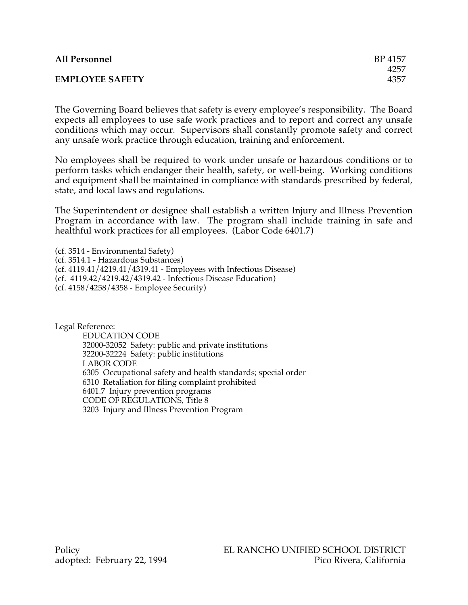| <b>All Personnel</b>   | BP 4157 |
|------------------------|---------|
|                        | 4257    |
| <b>EMPLOYEE SAFETY</b> | 4357    |

The Governing Board believes that safety is every employee's responsibility. The Board expects all employees to use safe work practices and to report and correct any unsafe conditions which may occur. Supervisors shall constantly promote safety and correct any unsafe work practice through education, training and enforcement.

No employees shall be required to work under unsafe or hazardous conditions or to perform tasks which endanger their health, safety, or well-being. Working conditions and equipment shall be maintained in compliance with standards prescribed by federal, state, and local laws and regulations.

The Superintendent or designee shall establish a written Injury and Illness Prevention Program in accordance with law. The program shall include training in safe and healthful work practices for all employees. (Labor Code 6401.7)

(cf. 3514 - Environmental Safety) (cf. 3514.1 - Hazardous Substances) (cf. 4119.41/4219.41/4319.41 - Employees with Infectious Disease) (cf. 4119.42/4219.42/4319.42 - Infectious Disease Education) (cf. 4158/4258/4358 - Employee Security)

Legal Reference:

EDUCATION CODE 32000-32052 Safety: public and private institutions 32200-32224 Safety: public institutions LABOR CODE 6305 Occupational safety and health standards; special order 6310 Retaliation for filing complaint prohibited 6401.7 Injury prevention programs CODE OF REGULATIONS, Title 8 3203 Injury and Illness Prevention Program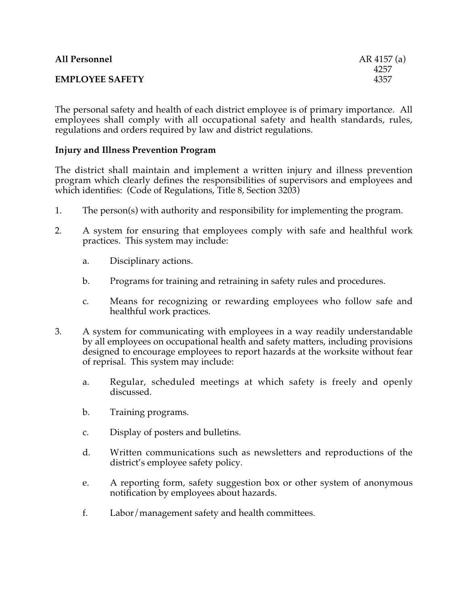| <b>All Personnel</b>   | AR 4157 (a) |
|------------------------|-------------|
|                        | 4257        |
| <b>EMPLOYEE SAFETY</b> | 4357        |
|                        |             |

The personal safety and health of each district employee is of primary importance. All employees shall comply with all occupational safety and health standards, rules, regulations and orders required by law and district regulations.

## **Injury and Illness Prevention Program**

The district shall maintain and implement a written injury and illness prevention program which clearly defines the responsibilities of supervisors and employees and which identifies: (Code of Regulations, Title 8, Section 3203)

- 1. The person(s) with authority and responsibility for implementing the program.
- 2. A system for ensuring that employees comply with safe and healthful work practices. This system may include:
	- a. Disciplinary actions.
	- b. Programs for training and retraining in safety rules and procedures.
	- c. Means for recognizing or rewarding employees who follow safe and healthful work practices.
- 3. A system for communicating with employees in a way readily understandable by all employees on occupational health and safety matters, including provisions designed to encourage employees to report hazards at the worksite without fear of reprisal. This system may include:
	- a. Regular, scheduled meetings at which safety is freely and openly discussed.
	- b. Training programs.
	- c. Display of posters and bulletins.
	- d. Written communications such as newsletters and reproductions of the district's employee safety policy.
	- e. A reporting form, safety suggestion box or other system of anonymous notification by employees about hazards.
	- f. Labor/management safety and health committees.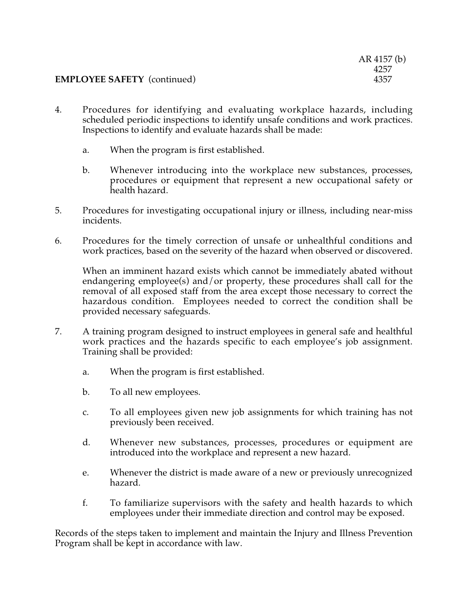## **EMPLOYEE SAFETY** (continued)

- 4. Procedures for identifying and evaluating workplace hazards, including scheduled periodic inspections to identify unsafe conditions and work practices. Inspections to identify and evaluate hazards shall be made:
	- a. When the program is first established.
	- b. Whenever introducing into the workplace new substances, processes, procedures or equipment that represent a new occupational safety or health hazard.
- 5. Procedures for investigating occupational injury or illness, including near-miss incidents.
- 6. Procedures for the timely correction of unsafe or unhealthful conditions and work practices, based on the severity of the hazard when observed or discovered.

When an imminent hazard exists which cannot be immediately abated without endangering employee(s) and/or property, these procedures shall call for the removal of all exposed staff from the area except those necessary to correct the hazardous condition. Employees needed to correct the condition shall be provided necessary safeguards.

- 7. A training program designed to instruct employees in general safe and healthful work practices and the hazards specific to each employee's job assignment. Training shall be provided:
	- a. When the program is first established.
	- b. To all new employees.
	- c. To all employees given new job assignments for which training has not previously been received.
	- d. Whenever new substances, processes, procedures or equipment are introduced into the workplace and represent a new hazard.
	- e. Whenever the district is made aware of a new or previously unrecognized hazard.
	- f. To familiarize supervisors with the safety and health hazards to which employees under their immediate direction and control may be exposed.

Records of the steps taken to implement and maintain the Injury and Illness Prevention Program shall be kept in accordance with law.